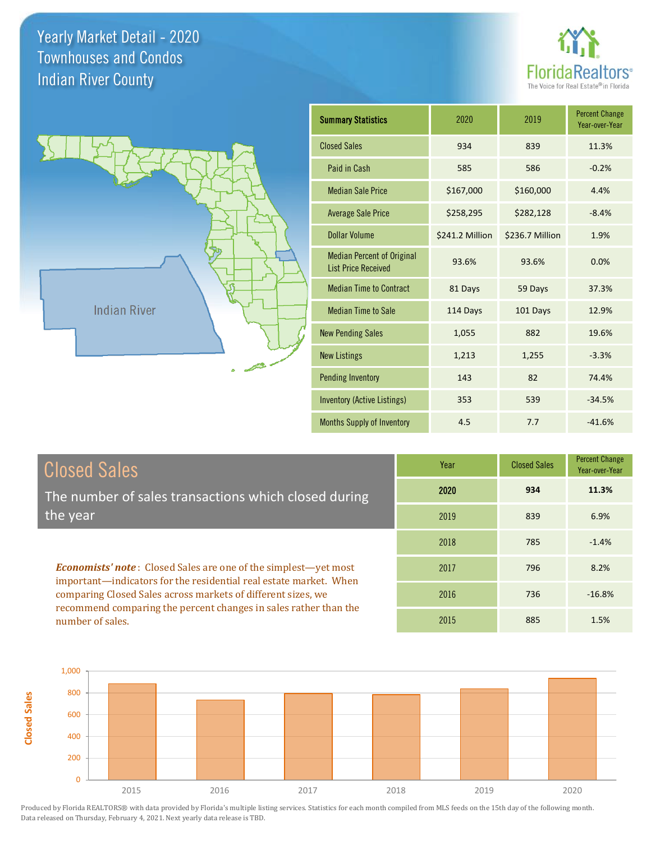



| <b>Summary Statistics</b>                                       | 2020            | 2019            | <b>Percent Change</b><br>Year-over-Year |
|-----------------------------------------------------------------|-----------------|-----------------|-----------------------------------------|
| <b>Closed Sales</b>                                             | 934             | 839             | 11.3%                                   |
| Paid in Cash                                                    | 585             | 586             | $-0.2%$                                 |
| <b>Median Sale Price</b>                                        | \$167,000       | \$160,000       | 4.4%                                    |
| <b>Average Sale Price</b>                                       | \$258,295       | \$282,128       | $-8.4%$                                 |
| Dollar Volume                                                   | \$241.2 Million | \$236.7 Million | 1.9%                                    |
| <b>Median Percent of Original</b><br><b>List Price Received</b> | 93.6%           | 93.6%           | 0.0%                                    |
| <b>Median Time to Contract</b>                                  | 81 Days         | 59 Days         | 37.3%                                   |
| <b>Median Time to Sale</b>                                      | 114 Days        | 101 Days        | 12.9%                                   |
| <b>New Pending Sales</b>                                        | 1,055           | 882             | 19.6%                                   |
| <b>New Listings</b>                                             | 1,213           | 1,255           | $-3.3%$                                 |
| <b>Pending Inventory</b>                                        | 143             | 82              | 74.4%                                   |
| Inventory (Active Listings)                                     | 353             | 539             | $-34.5%$                                |
| <b>Months Supply of Inventory</b>                               | 4.5             | 7.7             | $-41.6%$                                |

| Closed Sales                                                                                                                      | Year | <b>Closed Sales</b> | <b>Percent Change</b><br>Year-over-Year |
|-----------------------------------------------------------------------------------------------------------------------------------|------|---------------------|-----------------------------------------|
| The number of sales transactions which closed during                                                                              | 2020 | 934                 | 11.3%                                   |
| the year                                                                                                                          | 2019 | 839                 | 6.9%                                    |
|                                                                                                                                   | 2018 | 785                 | $-1.4%$                                 |
| <b>Economists' note:</b> Closed Sales are one of the simplest—yet most                                                            | 2017 | 796                 | 8.2%                                    |
| important-indicators for the residential real estate market. When<br>comparing Closed Sales across markets of different sizes, we | 2016 | 736                 | $-16.8%$                                |
| recommend comparing the percent changes in sales rather than the<br>number of sales.                                              | 2015 | 885                 | 1.5%                                    |



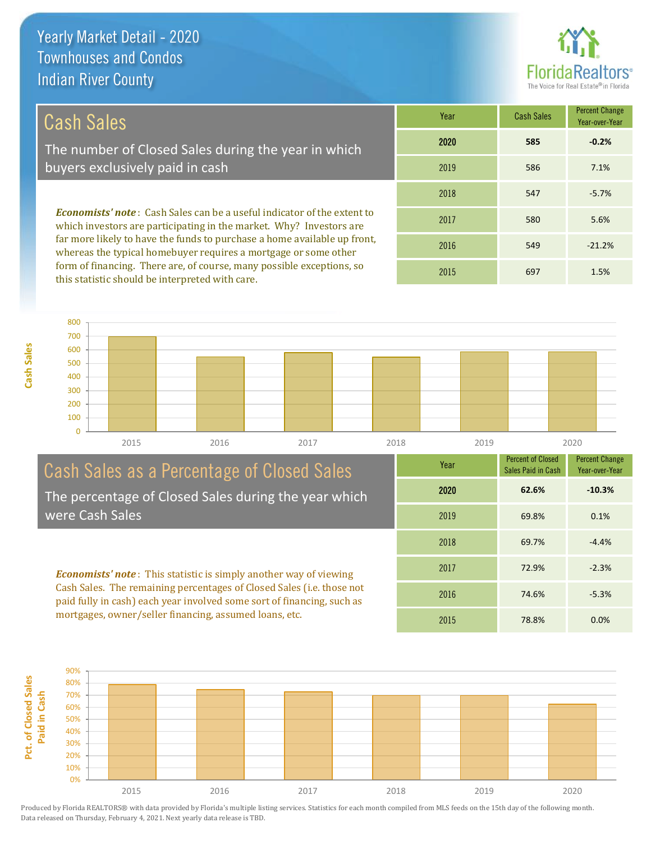

-5.3%

Percent Change Year-over-Year

## Cash Sales

The number of Closed Sales during the year in which buyers exclusively paid in cash

*Economists' note* : Cash Sales can be a useful indicator of the extent to which investors are participating in the market. Why? Investors are far more likely to have the funds to purchase a home available up front, whereas the typical homebuyer requires a mortgage or some other form of financing. There are, of course, many possible exceptions, so this statistic should be interpreted with care.

| Year | <b>Cash Sales</b> | <b>Percent Change</b><br>Year-over-Year |
|------|-------------------|-----------------------------------------|
| 2020 | 585               | $-0.2%$                                 |
| 2019 | 586               | 7.1%                                    |
| 2018 | 547               | $-5.7%$                                 |
| 2017 | 580               | 5.6%                                    |
| 2016 | 549               | $-21.2%$                                |
| 2015 | 697               | 1.5%                                    |

Percent of Closed Sales Paid in Cash

74.6%

69.8% 0.1%

69.7% -4.4%

72.9% -2.3%

2020 **62.6% -10.3%**

Year

2018

2019

2017

2016



## Cash Sales as a Percentage of Closed Sales The percentage of Closed Sales during the year which

were Cash Sales

*Economists' note* : This statistic is simply another way of viewing Cash Sales. The remaining percentages of Closed Sales (i.e. those not paid fully in cash) each year involved some sort of financing, such as mortgages, owner/seller financing, assumed loans, etc.

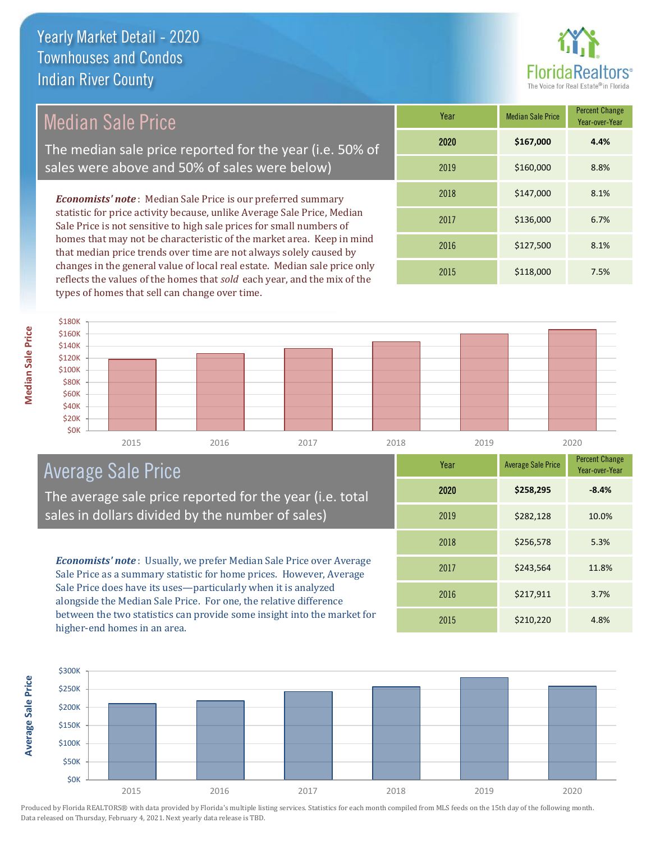

## Median Sale Price

The median sale price reported for the year (i.e. 50% of sales were above and 50% of sales were below)

*Economists' note* : Median Sale Price is our preferred summary statistic for price activity because, unlike Average Sale Price, Median Sale Price is not sensitive to high sale prices for small numbers of homes that may not be characteristic of the market area. Keep in mind that median price trends over time are not always solely caused by changes in the general value of local real estate. Median sale price only reflects the values of the homes that *sold* each year, and the mix of the types of homes that sell can change over time.

| Year | <b>Median Sale Price</b> | <b>Percent Change</b><br>Year-over-Year |
|------|--------------------------|-----------------------------------------|
| 2020 | \$167,000                | 4.4%                                    |
| 2019 | \$160,000                | 8.8%                                    |
| 2018 | \$147,000                | 8.1%                                    |
| 2017 | \$136,000                | 6.7%                                    |
| 2016 | \$127,500                | 8.1%                                    |
| 2015 | \$118,000                | 7.5%                                    |



## Average Sale Price

The average sale price reported for the year (i.e. total sales in dollars divided by the number of sales)

*Economists' note* : Usually, we prefer Median Sale Price over Average Sale Price as a summary statistic for home prices. However, Average Sale Price does have its uses—particularly when it is analyzed alongside the Median Sale Price. For one, the relative difference between the two statistics can provide some insight into the market for higher-end homes in an area.

| Year | <b>Average Sale Price</b> | <b>Percent Change</b><br>Year-over-Year |
|------|---------------------------|-----------------------------------------|
| 2020 | \$258,295                 | $-8.4%$                                 |
| 2019 | \$282,128                 | 10.0%                                   |
| 2018 | \$256,578                 | 5.3%                                    |
| 2017 | \$243,564                 | 11.8%                                   |
| 2016 | \$217,911                 | 3.7%                                    |
| 2015 | \$210,220                 | 4.8%                                    |

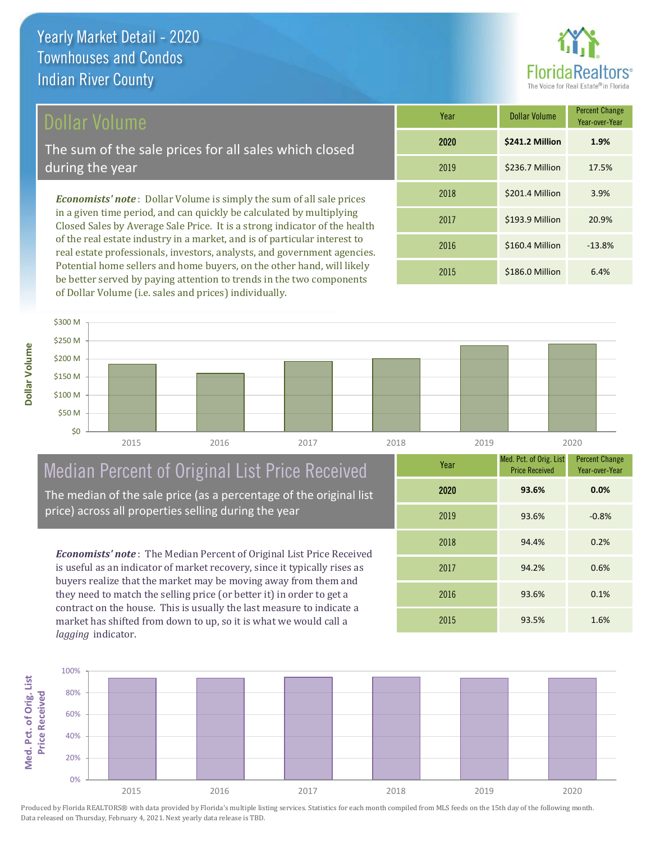#### Dollar Volume

The sum of the sale prices for all sales which closed during the year

*Economists' note* : Dollar Volume is simply the sum of all sale prices in a given time period, and can quickly be calculated by multiplying Closed Sales by Average Sale Price. It is a strong indicator of the health of the real estate industry in a market, and is of particular interest to real estate professionals, investors, analysts, and government agencies. Potential home sellers and home buyers, on the other hand, will likely be better served by paying attention to trends in the two components of Dollar Volume (i.e. sales and prices) individually.

| Year | <b>Dollar Volume</b> | <b>Percent Change</b><br>Year-over-Year |
|------|----------------------|-----------------------------------------|
| 2020 | \$241.2 Million      | 1.9%                                    |
| 2019 | \$236.7 Million      | 17.5%                                   |
| 2018 | \$201.4 Million      | 3.9%                                    |
| 2017 | \$193.9 Million      | 20.9%                                   |
| 2016 | \$160.4 Million      | $-13.8%$                                |
| 2015 | \$186.0 Million      | 6.4%                                    |



## Median Percent of Original List Price Received

The median of the sale price (as a percentage of the original list price) across all properties selling during the year

*Economists' note* : The Median Percent of Original List Price Received is useful as an indicator of market recovery, since it typically rises as buyers realize that the market may be moving away from them and they need to match the selling price (or better it) in order to get a contract on the house. This is usually the last measure to indicate a market has shifted from down to up, so it is what we would call a *lagging* indicator.

| Year | Med. Pct. of Orig. List<br><b>Price Received</b> | <b>Percent Change</b><br>Year-over-Year |
|------|--------------------------------------------------|-----------------------------------------|
| 2020 | 93.6%                                            | 0.0%                                    |
| 2019 | 93.6%                                            | $-0.8%$                                 |
| 2018 | 94.4%                                            | 0.2%                                    |
| 2017 | 94.2%                                            | 0.6%                                    |
| 2016 | 93.6%                                            | 0.1%                                    |
| 2015 | 93.5%                                            | 1.6%                                    |

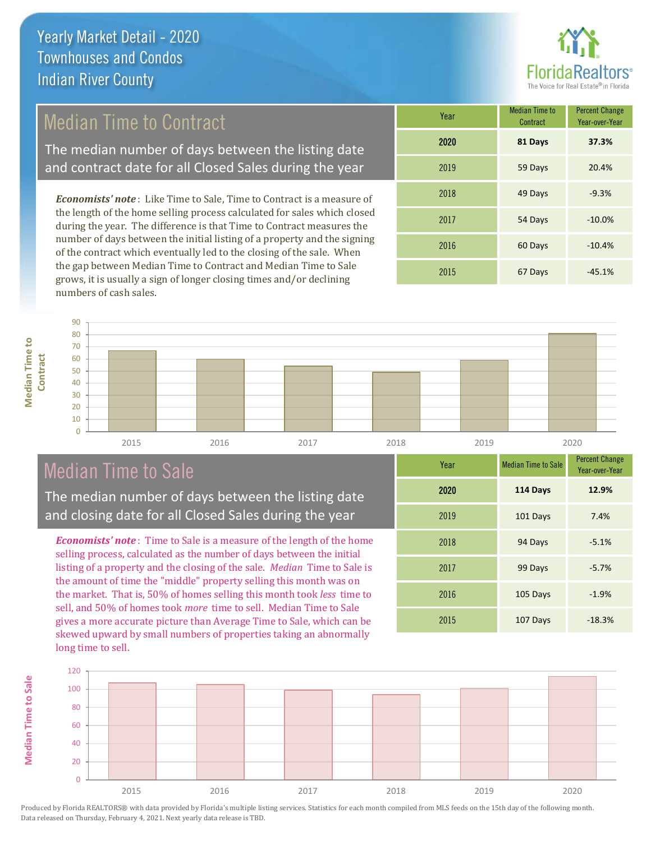

## Median Time to Contract

The median number of days between the listing date and contract date for all Closed Sales during the year

*Economists' note* : Like Time to Sale, Time to Contract is a measure of the length of the home selling process calculated for sales which closed during the year. The difference is that Time to Contract measures the number of days between the initial listing of a property and the signing of the contract which eventually led to the closing of the sale. When the gap between Median Time to Contract and Median Time to Sale grows, it is usually a sign of longer closing times and/or declining numbers of cash sales.

| Year | Median Time to<br>Contract | <b>Percent Change</b><br>Year-over-Year |
|------|----------------------------|-----------------------------------------|
| 2020 | 81 Days                    | 37.3%                                   |
| 2019 | 59 Days                    | 20.4%                                   |
| 2018 | 49 Days                    | $-9.3%$                                 |
| 2017 | 54 Days                    | $-10.0%$                                |
| 2016 | 60 Days                    | $-10.4%$                                |
| 2015 | 67 Days                    | $-45.1%$                                |



### Median Time to Sale

**Median Time to Sale**

**Median Time to Sale** 

The median number of days between the listing date and closing date for all Closed Sales during the year

*Economists' note* : Time to Sale is a measure of the length of the home selling process, calculated as the number of days between the initial listing of a property and the closing of the sale. *Median* Time to Sale is the amount of time the "middle" property selling this month was on the market. That is, 50% of homes selling this month took *less* time to sell, and 50% of homes took *more* time to sell. Median Time to Sale gives a more accurate picture than Average Time to Sale, which can be skewed upward by small numbers of properties taking an abnormally long time to sell.

| Year | <b>Median Time to Sale</b> | <b>Percent Change</b><br>Year-over-Year |
|------|----------------------------|-----------------------------------------|
| 2020 | 114 Days                   | 12.9%                                   |
| 2019 | 101 Days                   | 7.4%                                    |
| 2018 | 94 Days                    | $-5.1%$                                 |
| 2017 | 99 Days                    | $-5.7%$                                 |
| 2016 | 105 Days                   | $-1.9%$                                 |
| 2015 | 107 Days                   | $-18.3%$                                |

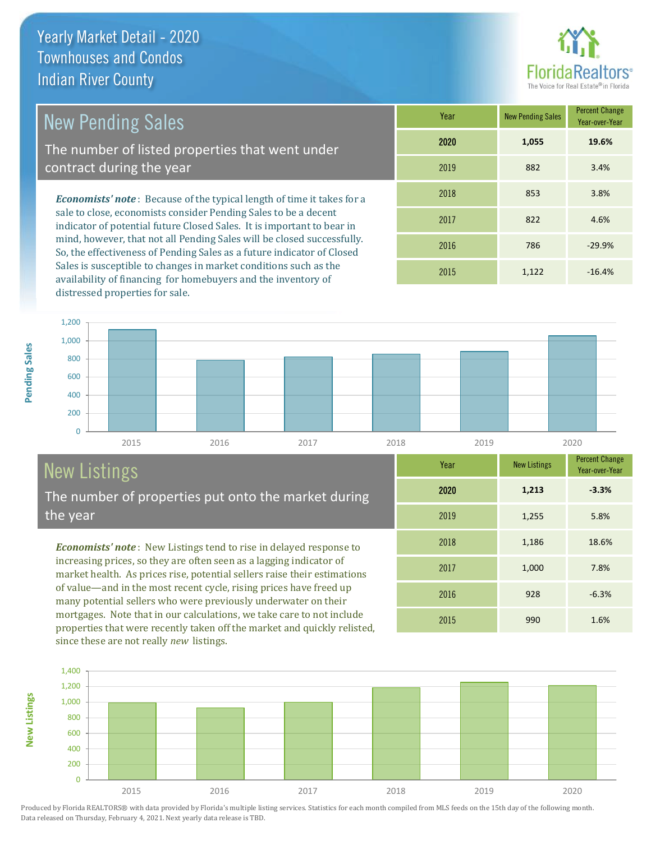

1,000 7.8%

2015 990 1.6%

2016 928 -6.3%

2018 1,186 18.6%

2019 1,255 5.8%

Year-over-Year

**-3.3%**

## New Pending Sales

The number of listed properties that went under contract during the year

*Economists' note* : Because of the typical length of time it takes for a sale to close, economists consider Pending Sales to be a decent indicator of potential future Closed Sales. It is important to bear in mind, however, that not all Pending Sales will be closed successfully. So, the effectiveness of Pending Sales as a future indicator of Closed Sales is susceptible to changes in market conditions such as the availability of financing for homebuyers and the inventory of distressed properties for sale.

| Year | <b>New Pending Sales</b> | <b>Percent Change</b><br>Year-over-Year |
|------|--------------------------|-----------------------------------------|
| 2020 | 1,055                    | 19.6%                                   |
| 2019 | 882                      | 3.4%                                    |
| 2018 | 853                      | 3.8%                                    |
| 2017 | 822                      | 4.6%                                    |
| 2016 | 786                      | $-29.9%$                                |
| 2015 | 1,122                    | $-16.4%$                                |

2020 **1,213**

2017



## New Listings

**New Listings**

**Pending Sales**

Pending Sales

The number of properties put onto the market during the year

*Economists' note* : New Listings tend to rise in delayed response to increasing prices, so they are often seen as a lagging indicator of market health. As prices rise, potential sellers raise their estimations of value—and in the most recent cycle, rising prices have freed up many potential sellers who were previously underwater on their mortgages. Note that in our calculations, we take care to not include properties that were recently taken off the market and quickly relisted, since these are not really *new* listings.

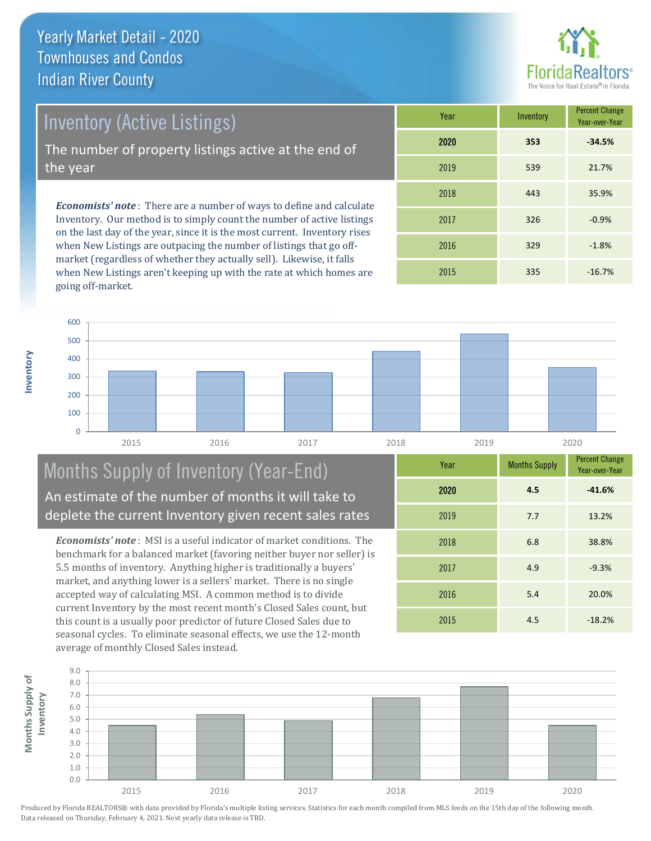

Inventory (Active Listings)

The number of property listings active at the end of the year

*Economists' note* : There are a number of ways to define and calculate Inventory. Our method is to simply count the number of active listings on the last day of the year, since it is the most current. Inventory rises when New Listings are outpacing the number of listings that go offmarket (regardless of whether they actually sell). Likewise, it falls when New Listings aren't keeping up with the rate at which homes are going off-market.

| Year | Inventory | <b>Percent Change</b><br>Year-over-Year |
|------|-----------|-----------------------------------------|
| 2020 | 353       | $-34.5%$                                |
| 2019 | 539       | 21.7%                                   |
| 2018 | 443       | 35.9%                                   |
| 2017 | 326       | $-0.9%$                                 |
| 2016 | 329       | $-1.8%$                                 |
| 2015 | 335       | $-16.7%$                                |



#### Months Supply of Inventory (Year-End) An estimate of the number of months it will take to deplete the current Inventory given recent sales rates

*Economists' note* : MSI is a useful indicator of market conditions. The benchmark for a balanced market (favoring neither buyer nor seller) is 5.5 months of inventory. Anything higher is traditionally a buyers' market, and anything lower is a sellers' market. There is no single accepted way of calculating MSI. A common method is to divide current Inventory by the most recent month's Closed Sales count, but this count is a usually poor predictor of future Closed Sales due to seasonal cycles. To eliminate seasonal effects, we use the 12-month average of monthly Closed Sales instead.

| Year | <b>Months Supply</b> | <b>Percent Change</b><br>Year-over-Year |
|------|----------------------|-----------------------------------------|
| 2020 | 4.5                  | $-41.6%$                                |
| 2019 | 7.7                  | 13.2%                                   |
| 2018 | 6.8                  | 38.8%                                   |
| 2017 | 4.9                  | $-9.3%$                                 |
| 2016 | 5.4                  | 20.0%                                   |
| 2015 | 4.5                  | $-18.2%$                                |

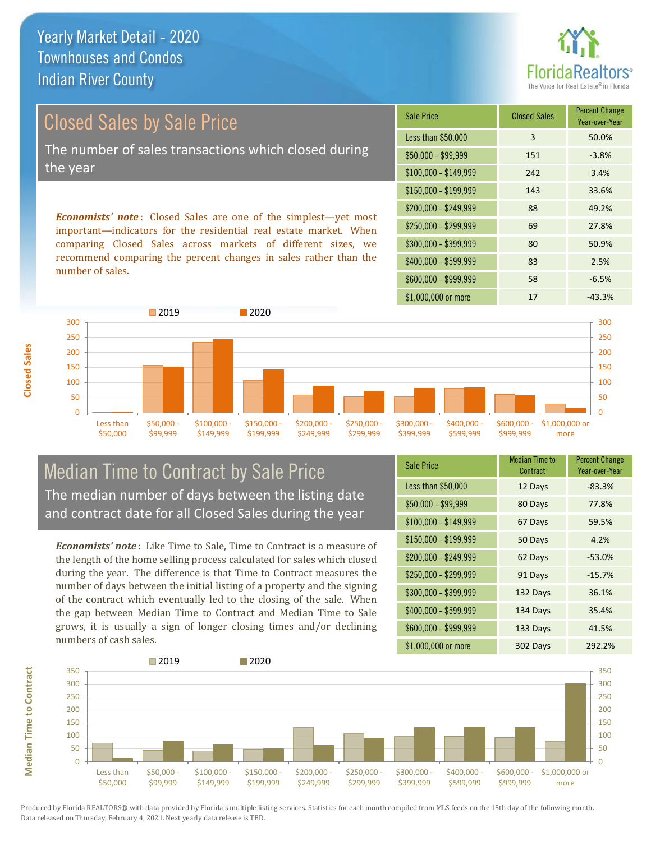

# Closed Sales by Sale Price The number of sales transactions which closed during the year

*Economists' note* : Closed Sales are one of the simplest—yet most important—indicators for the residential real estate market. When comparing Closed Sales across markets of different sizes, we recommend comparing the percent changes in sales rather than the number of sales.

| <b>Sale Price</b>     | <b>Closed Sales</b> | <b>Percent Change</b><br>Year-over-Year |
|-----------------------|---------------------|-----------------------------------------|
| Less than \$50,000    | 3                   | 50.0%                                   |
| $$50,000 - $99,999$   | 151                 | $-3.8%$                                 |
| $$100,000 - $149,999$ | 242                 | 3.4%                                    |
| $$150,000 - $199,999$ | 143                 | 33.6%                                   |
| \$200,000 - \$249,999 | 88                  | 49.2%                                   |
| \$250,000 - \$299,999 | 69                  | 27.8%                                   |
| \$300,000 - \$399,999 | 80                  | 50.9%                                   |
| \$400,000 - \$599,999 | 83                  | 2.5%                                    |
| \$600,000 - \$999,999 | 58                  | $-6.5%$                                 |
| \$1,000,000 or more   | 17                  | $-43.3%$                                |



#### Median Time to Contract by Sale Price The median number of days between the listing date and contract date for all Closed Sales during the year

*Economists' note* : Like Time to Sale, Time to Contract is a measure of the length of the home selling process calculated for sales which closed during the year. The difference is that Time to Contract measures the number of days between the initial listing of a property and the signing of the contract which eventually led to the closing of the sale. When the gap between Median Time to Contract and Median Time to Sale grows, it is usually a sign of longer closing times and/or declining numbers of cash sales.

**Median Time to Contract**

**Median Time to Contract** 

**Closed Sales**

| <b>Sale Price</b>     | Median Time to<br>Contract | <b>Percent Change</b><br>Year-over-Year |
|-----------------------|----------------------------|-----------------------------------------|
| Less than \$50,000    | 12 Days                    | $-83.3%$                                |
| $$50,000 - $99,999$   | 80 Days                    | 77.8%                                   |
| $$100,000 - $149,999$ | 67 Days                    | 59.5%                                   |
| $$150,000 - $199,999$ | 50 Days                    | 4.2%                                    |
| \$200,000 - \$249,999 | 62 Days                    | $-53.0%$                                |
| \$250,000 - \$299,999 | 91 Days                    | $-15.7%$                                |
| \$300,000 - \$399,999 | 132 Days                   | 36.1%                                   |
| $$400,000 - $599,999$ | 134 Days                   | 35.4%                                   |
| \$600,000 - \$999,999 | 133 Days                   | 41.5%                                   |
| \$1,000,000 or more   | 302 Days                   | 292.2%                                  |

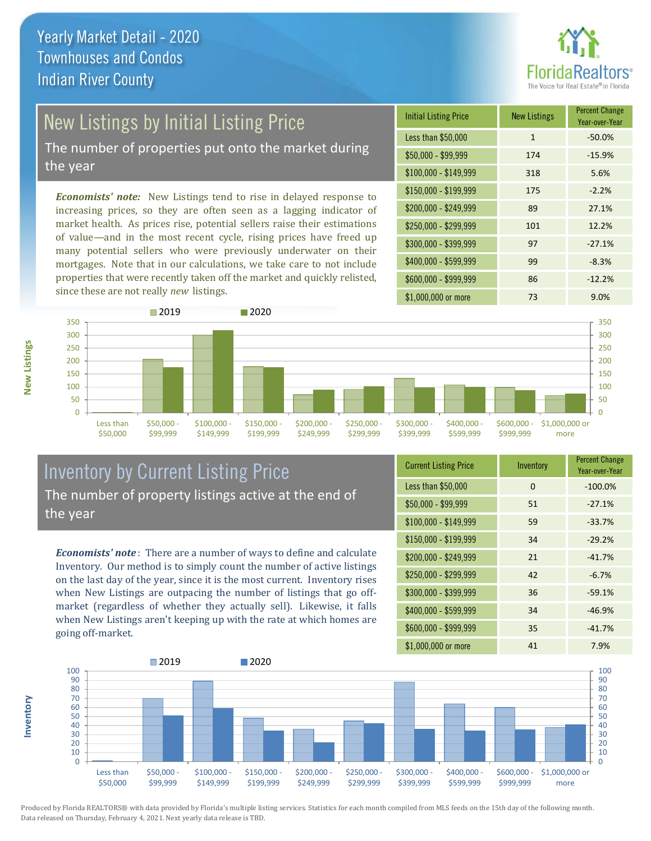

## New Listings by Initial Listing Price

The number of properties put onto the market during the year

*Economists' note:* New Listings tend to rise in delayed response to increasing prices, so they are often seen as a lagging indicator of market health. As prices rise, potential sellers raise their estimations of value—and in the most recent cycle, rising prices have freed up many potential sellers who were previously underwater on their mortgages. Note that in our calculations, we take care to not include properties that were recently taken off the market and quickly relisted, since these are not really *new* listings.

| <b>Initial Listing Price</b> | <b>New Listings</b> | <b>Percent Change</b><br>Year-over-Year |
|------------------------------|---------------------|-----------------------------------------|
| Less than \$50,000           | $\mathbf{1}$        | $-50.0%$                                |
| $$50,000 - $99,999$          | 174                 | $-15.9%$                                |
| $$100,000 - $149,999$        | 318                 | 5.6%                                    |
| $$150,000 - $199,999$        | 175                 | $-2.2%$                                 |
| \$200,000 - \$249,999        | 89                  | 27.1%                                   |
| \$250,000 - \$299,999        | 101                 | 12.2%                                   |
| \$300,000 - \$399,999        | 97                  | $-27.1%$                                |
| \$400,000 - \$599,999        | 99                  | $-8.3%$                                 |
| \$600,000 - \$999,999        | 86                  | $-12.2%$                                |
| \$1,000,000 or more          | 73                  | 9.0%                                    |



#### Inventory by Current Listing Price The number of property listings active at the end of the year

*Economists' note* : There are a number of ways to define and calculate Inventory. Our method is to simply count the number of active listings on the last day of the year, since it is the most current. Inventory rises when New Listings are outpacing the number of listings that go offmarket (regardless of whether they actually sell). Likewise, it falls when New Listings aren't keeping up with the rate at which homes are going off-market.

| <b>Current Listing Price</b> | Inventory | Percent Change<br>Year-over-Year |
|------------------------------|-----------|----------------------------------|
| Less than \$50,000           | 0         | $-100.0%$                        |
| $$50,000 - $99,999$          | 51        | $-27.1%$                         |
| $$100,000 - $149,999$        | 59        | $-33.7%$                         |
| $$150,000 - $199,999$        | 34        | $-29.2%$                         |
| \$200,000 - \$249,999        | 21        | $-41.7%$                         |
| \$250,000 - \$299,999        | 42        | $-6.7%$                          |
| \$300,000 - \$399,999        | 36        | $-59.1%$                         |
| \$400,000 - \$599,999        | 34        | $-46.9%$                         |
| \$600,000 - \$999,999        | 35        | $-41.7%$                         |
| \$1,000,000 or more          | 41        | 7.9%                             |



**Inventory**